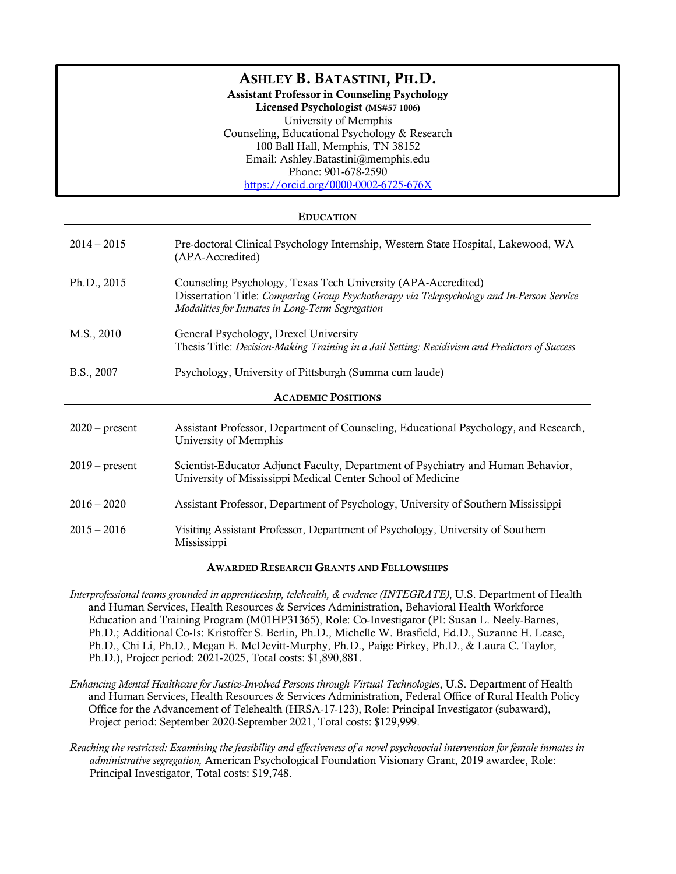# ASHLEY B. BATASTINI, PH.D.

Assistant Professor in Counseling Psychology

Licensed Psychologist (MS#57 1006) University of Memphis Counseling, Educational Psychology & Research 100 Ball Hall, Memphis, TN 38152 Email: Ashley.Batastini@memphis.edu Phone: 901-678-2590 https://orcid.org/0000-0002-6725-676X

## EDUCATION

| $2014 - 2015$                                  | Pre-doctoral Clinical Psychology Internship, Western State Hospital, Lakewood, WA<br>(APA-Accredited)                                                                                                          |  |
|------------------------------------------------|----------------------------------------------------------------------------------------------------------------------------------------------------------------------------------------------------------------|--|
| Ph.D., 2015                                    | Counseling Psychology, Texas Tech University (APA-Accredited)<br>Dissertation Title: Comparing Group Psychotherapy via Telepsychology and In-Person Service<br>Modalities for Inmates in Long-Term Segregation |  |
| M.S., 2010                                     | General Psychology, Drexel University<br>Thesis Title: Decision-Making Training in a Jail Setting: Recidivism and Predictors of Success                                                                        |  |
| B.S., 2007                                     | Psychology, University of Pittsburgh (Summa cum laude)                                                                                                                                                         |  |
| <b>ACADEMIC POSITIONS</b>                      |                                                                                                                                                                                                                |  |
| $2020$ – present                               | Assistant Professor, Department of Counseling, Educational Psychology, and Research,<br>University of Memphis                                                                                                  |  |
| $2019$ – present                               | Scientist-Educator Adjunct Faculty, Department of Psychiatry and Human Behavior,<br>University of Mississippi Medical Center School of Medicine                                                                |  |
| $2016 - 2020$                                  | Assistant Professor, Department of Psychology, University of Southern Mississippi                                                                                                                              |  |
| $2015 - 2016$                                  | Visiting Assistant Professor, Department of Psychology, University of Southern<br>Mississippi                                                                                                                  |  |
| <b>AWARDED RESEARCH GRANTS AND FELLOWSHIPS</b> |                                                                                                                                                                                                                |  |

*Interprofessional teams grounded in apprenticeship, telehealth, & evidence (INTEGRATE)*, U.S. Department of Health and Human Services, Health Resources & Services Administration, Behavioral Health Workforce Education and Training Program (M01HP31365), Role: Co-Investigator (PI: Susan L. Neely-Barnes, Ph.D.; Additional Co-Is: Kristoffer S. Berlin, Ph.D., Michelle W. Brasfield, Ed.D., Suzanne H. Lease, Ph.D., Chi Li, Ph.D., Megan E. McDevitt-Murphy, Ph.D., Paige Pirkey, Ph.D., & Laura C. Taylor, Ph.D.), Project period: 2021-2025, Total costs: \$1,890,881.

- *Enhancing Mental Healthcare for Justice-Involved Persons through Virtual Technologies*, U.S. Department of Health and Human Services, Health Resources & Services Administration, Federal Office of Rural Health Policy Office for the Advancement of Telehealth (HRSA-17-123), Role: Principal Investigator (subaward), Project period: September 2020-September 2021, Total costs: \$129,999.
- *Reaching the restricted: Examining the feasibility and effectiveness of a novel psychosocial intervention for female inmates in administrative segregation,* American Psychological Foundation Visionary Grant, 2019 awardee, Role: Principal Investigator, Total costs: \$19,748.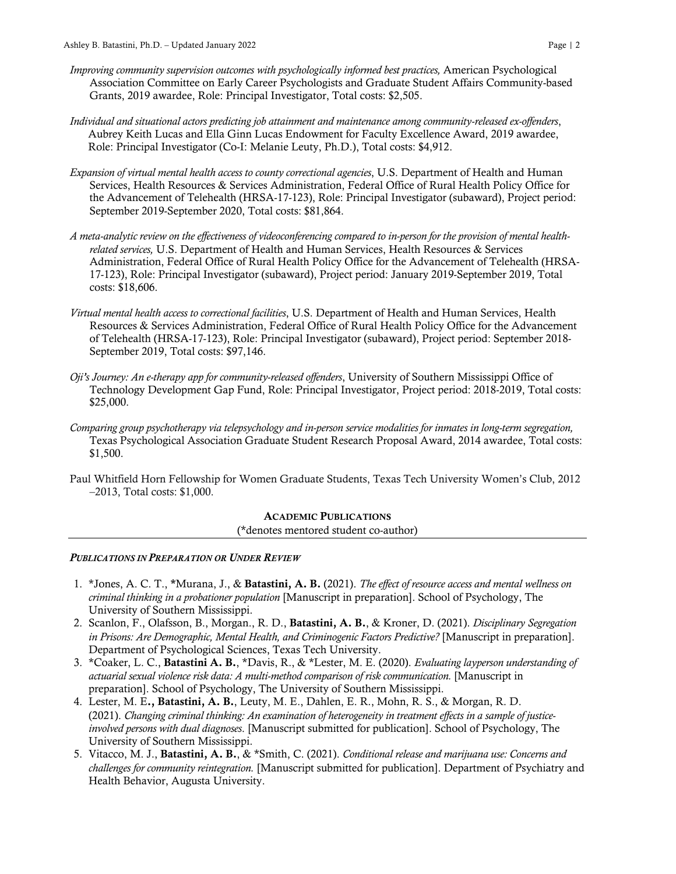- *Improving community supervision outcomes with psychologically informed best practices,* American Psychological Association Committee on Early Career Psychologists and Graduate Student Affairs Community-based Grants, 2019 awardee, Role: Principal Investigator, Total costs: \$2,505.
- *Individual and situational actors predicting job attainment and maintenance among community-released ex-offenders*, Aubrey Keith Lucas and Ella Ginn Lucas Endowment for Faculty Excellence Award, 2019 awardee, Role: Principal Investigator (Co-I: Melanie Leuty, Ph.D.), Total costs: \$4,912.
- *Expansion of virtual mental health access to county correctional agencies*, U.S. Department of Health and Human Services, Health Resources & Services Administration, Federal Office of Rural Health Policy Office for the Advancement of Telehealth (HRSA-17-123), Role: Principal Investigator (subaward), Project period: September 2019-September 2020, Total costs: \$81,864.
- *A meta-analytic review on the effectiveness of videoconferencing compared to in-person for the provision of mental healthrelated services,* U.S. Department of Health and Human Services, Health Resources & Services Administration, Federal Office of Rural Health Policy Office for the Advancement of Telehealth (HRSA-17-123), Role: Principal Investigator (subaward), Project period: January 2019-September 2019, Total costs: \$18,606.
- *Virtual mental health access to correctional facilities*, U.S. Department of Health and Human Services, Health Resources & Services Administration, Federal Office of Rural Health Policy Office for the Advancement of Telehealth (HRSA-17-123), Role: Principal Investigator (subaward), Project period: September 2018- September 2019, Total costs: \$97,146.
- *Oji's Journey: An e-therapy app for community-released offenders*, University of Southern Mississippi Office of Technology Development Gap Fund, Role: Principal Investigator, Project period: 2018-2019, Total costs: \$25,000.
- *Comparing group psychotherapy via telepsychology and in-person service modalities for inmates in long-term segregation,*  Texas Psychological Association Graduate Student Research Proposal Award, 2014 awardee, Total costs: \$1,500.
- Paul Whitfield Horn Fellowship for Women Graduate Students, Texas Tech University Women's Club, 2012 –2013, Total costs: \$1,000.

#### ACADEMIC PUBLICATIONS (\*denotes mentored student co-author)

## *PUBLICATIONS IN PREPARATION OR UNDER REVIEW*

- 1. \*Jones, A. C. T., \*Murana, J., & Batastini, A. B. (2021). *The effect of resource access and mental wellness on criminal thinking in a probationer population* [Manuscript in preparation]. School of Psychology, The University of Southern Mississippi.
- 2. Scanlon, F., Olafsson, B., Morgan., R. D., Batastini, A. B., & Kroner, D. (2021). *Disciplinary Segregation in Prisons: Are Demographic, Mental Health, and Criminogenic Factors Predictive?* [Manuscript in preparation]. Department of Psychological Sciences, Texas Tech University.
- 3. \*Coaker, L. C., Batastini A. B., \*Davis, R., & \*Lester, M. E. (2020). *Evaluating layperson understanding of actuarial sexual violence risk data: A multi-method comparison of risk communication.* [Manuscript in preparation]. School of Psychology, The University of Southern Mississippi.
- 4. Lester, M. E., Batastini, A. B., Leuty, M. E., Dahlen, E. R., Mohn, R. S., & Morgan, R. D. (2021). *Changing criminal thinking: An examination of heterogeneity in treatment effects in a sample of justiceinvolved persons with dual diagnoses*. [Manuscript submitted for publication]. School of Psychology, The University of Southern Mississippi.
- 5. Vitacco, M. J., Batastini, A. B., & \*Smith, C. (2021). *Conditional release and marijuana use: Concerns and challenges for community reintegration.* [Manuscript submitted for publication]. Department of Psychiatry and Health Behavior, Augusta University.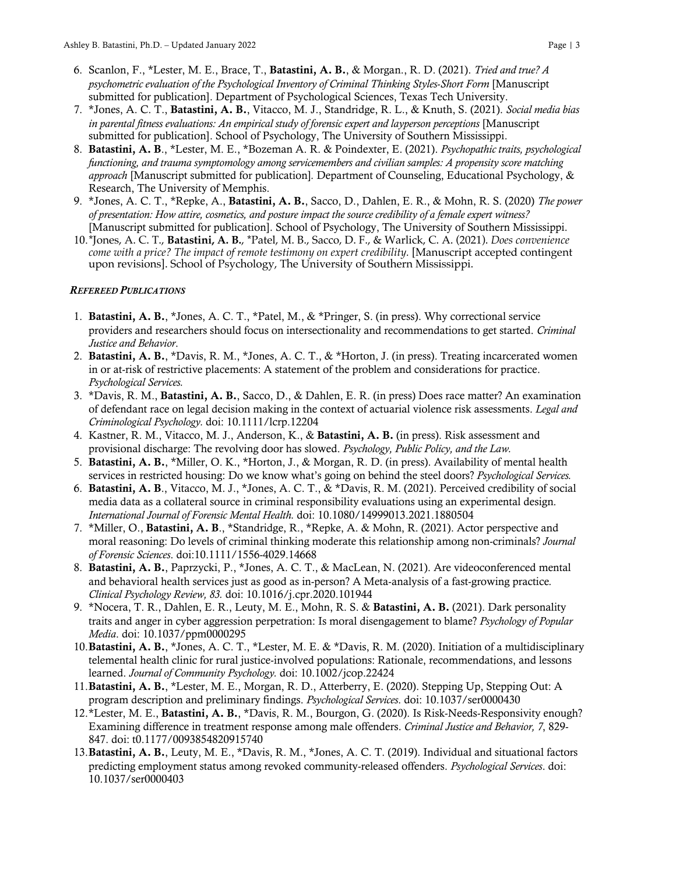- 6. Scanlon, F., \*Lester, M. E., Brace, T., Batastini, A. B., & Morgan., R. D. (2021). *Tried and true? A psychometric evaluation of the Psychological Inventory of Criminal Thinking Styles-Short Form* [Manuscript submitted for publication]. Department of Psychological Sciences, Texas Tech University.
- 7. \*Jones, A. C. T., Batastini, A. B., Vitacco, M. J., Standridge, R. L., & Knuth, S. (2021). *Social media bias in parental fitness evaluations: An empirical study of forensic expert and layperson perceptions* [Manuscript submitted for publication]. School of Psychology, The University of Southern Mississippi.
- 8. Batastini, A. B., \*Lester, M. E., \*Bozeman A. R. & Poindexter, E. (2021). *Psychopathic traits, psychological functioning, and trauma symptomology among servicemembers and civilian samples: A propensity score matching approach* [Manuscript submitted for publication]*.* Department of Counseling, Educational Psychology, & Research, The University of Memphis.
- 9. \*Jones, A. C. T., \*Repke, A., Batastini, A. B., Sacco, D., Dahlen, E. R., & Mohn, R. S. (2020) *The power of presentation: How attire, cosmetics, and posture impact the source credibility of a female expert witness?* [Manuscript submitted for publication]. School of Psychology, The University of Southern Mississippi.
- 10.\*Jones, A. C. T., **Batastini, A. B.**, \*Patel, M. B., Sacco, D. F., & Warlick, C. A. (2021). *Does convenience come with a price? The impact of remote testimony on expert credibility.* [Manuscript accepted contingent upon revisions]. School of Psychology, The University of Southern Mississippi.

## *REFEREED PUBLICATIONS*

- 1. Batastini, A. B., \*Jones, A. C. T., \*Patel, M., & \*Pringer, S. (in press). Why correctional service providers and researchers should focus on intersectionality and recommendations to get started. *Criminal Justice and Behavior*.
- 2. Batastini, A. B., \*Davis, R. M., \*Jones, A. C. T., & \*Horton, J. (in press). Treating incarcerated women in or at-risk of restrictive placements: A statement of the problem and considerations for practice. *Psychological Services.*
- 3. \*Davis, R. M., Batastini, A. B., Sacco, D., & Dahlen, E. R. (in press) Does race matter? An examination of defendant race on legal decision making in the context of actuarial violence risk assessments. *Legal and Criminological Psychology.* doi: 10.1111/lcrp.12204
- 4. Kastner, R. M., Vitacco, M. J., Anderson, K., & Batastini, A. B. (in press). Risk assessment and provisional discharge: The revolving door has slowed. *Psychology, Public Policy, and the Law.*
- 5. Batastini, A. B., \*Miller, O. K., \*Horton, J., & Morgan, R. D. (in press). Availability of mental health services in restricted housing: Do we know what's going on behind the steel doors? *Psychological Services.*
- 6. Batastini, A. B., Vitacco, M. J., \*Jones, A. C. T., & \*Davis, R. M. (2021). Perceived credibility of social media data as a collateral source in criminal responsibility evaluations using an experimental design. *International Journal of Forensic Mental Health.* doi: 10.1080/14999013.2021.1880504
- 7. \*Miller, O., Batastini, A. B., \*Standridge, R., \*Repke, A. & Mohn, R. (2021). Actor perspective and moral reasoning: Do levels of criminal thinking moderate this relationship among non-criminals? *Journal of Forensic Sciences*. doi:10.1111/1556-4029.14668
- 8. Batastini, A. B., Paprzycki, P., \*Jones, A. C. T., & MacLean, N. (2021). Are videoconferenced mental and behavioral health services just as good as in-person? A Meta-analysis of a fast-growing practice*. Clinical Psychology Review, 83.* doi: 10.1016/j.cpr.2020.101944
- 9. \*Nocera, T. R., Dahlen, E. R., Leuty, M. E., Mohn, R. S. & Batastini, A. B. (2021). Dark personality traits and anger in cyber aggression perpetration: Is moral disengagement to blame? *Psychology of Popular Media*. doi: 10.1037/ppm0000295
- 10. Batastini, A. B., \*Jones, A. C. T., \*Lester, M. E. & \*Davis, R. M. (2020). Initiation of a multidisciplinary telemental health clinic for rural justice-involved populations: Rationale, recommendations, and lessons learned. *Journal of Community Psychology.* doi: 10.1002/jcop.22424
- 11. Batastini, A. B., \*Lester, M. E., Morgan, R. D., Atterberry, E. (2020). Stepping Up, Stepping Out: A program description and preliminary findings. *Psychological Services*. doi: 10.1037/ser0000430
- 12.\*Lester, M. E., Batastini, A. B., \*Davis, R. M., Bourgon, G. (2020). Is Risk-Needs-Responsivity enough? Examining difference in treatment response among male offenders. *Criminal Justice and Behavior, 7*, 829- 847. doi: t0.1177/0093854820915740
- 13.Batastini, A. B., Leuty, M. E., \*Davis, R. M., \*Jones, A. C. T. (2019). Individual and situational factors predicting employment status among revoked community-released offenders. *Psychological Services*. doi: 10.1037/ser0000403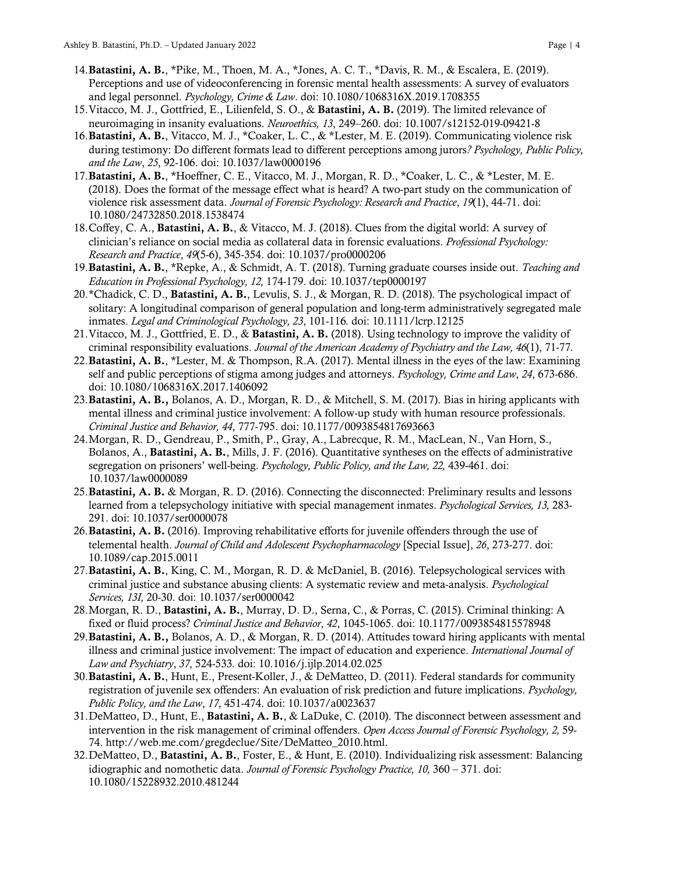- 14.Batastini, A. B., \*Pike, M., Thoen, M. A., \*Jones, A. C. T., \*Davis, R. M., & Escalera, E. (2019). Perceptions and use of videoconferencing in forensic mental health assessments: A survey of evaluators and legal personnel. *Psychology, Crime & Law*. doi: 10.1080/1068316X.2019.1708355
- 15. Vitacco, M. J., Gottfried, E., Lilienfeld, S. O., & Batastini, A. B. (2019). The limited relevance of neuroimaging in insanity evaluations. *Neuroethics, 13*, 249–260. doi: 10.1007/s12152-019-09421-8
- 16.Batastini, A. B., Vitacco, M. J., \*Coaker, L. C., & \*Lester, M. E. (2019). Communicating violence risk during testimony: Do different formats lead to different perceptions among jurors*? Psychology, Public Policy, and the Law*, *25*, 92-106. doi: 10.1037/law0000196
- 17. Batastini, A. B., \*Hoeffner, C. E., Vitacco, M. J., Morgan, R. D., \*Coaker, L. C., & \*Lester, M. E. (2018). Does the format of the message effect what is heard? A two-part study on the communication of violence risk assessment data. *Journal of Forensic Psychology: Research and Practice*, *19*(1), 44-71. doi: 10.1080/24732850.2018.1538474
- 18.Coffey, C. A., Batastini, A. B., & Vitacco, M. J. (2018). Clues from the digital world: A survey of clinician's reliance on social media as collateral data in forensic evaluations. *Professional Psychology: Research and Practice*, *49*(5-6), 345-354. doi: 10.1037/pro0000206
- 19.Batastini, A. B., \*Repke, A., & Schmidt, A. T. (2018). Turning graduate courses inside out. *Teaching and Education in Professional Psychology, 12,* 174-179. doi: 10.1037/tep0000197
- 20.\*Chadick, C. D., Batastini, A. B., Levulis, S. J., & Morgan, R. D. (2018). The psychological impact of solitary: A longitudinal comparison of general population and long-term administratively segregated male inmates. *Legal and Criminological Psychology, 23*, 101-116*.* doi: 10.1111/lcrp.12125
- 21. Vitacco, M. J., Gottfried, E. D., & Batastini, A. B. (2018). Using technology to improve the validity of criminal responsibility evaluations. *Journal of the American Academy of Psychiatry and the Law, 46*(1), 71-77*.*
- 22. Batastini, A. B., \*Lester, M. & Thompson, R.A. (2017). Mental illness in the eyes of the law: Examining self and public perceptions of stigma among judges and attorneys. *Psychology, Crime and Law*, *24*, 673-686. doi: 10.1080/1068316X.2017.1406092
- 23. Batastini, A. B., Bolanos, A. D., Morgan, R. D., & Mitchell, S. M. (2017). Bias in hiring applicants with mental illness and criminal justice involvement: A follow-up study with human resource professionals. *Criminal Justice and Behavior, 44*, 777-795. doi: 10.1177/0093854817693663
- 24.Morgan, R. D., Gendreau, P., Smith, P., Gray, A., Labrecque, R. M., MacLean, N., Van Horn, S., Bolanos, A., Batastini, A. B., Mills, J. F. (2016). Quantitative syntheses on the effects of administrative segregation on prisoners' well-being. *Psychology, Public Policy, and the Law, 22,* 439-461. doi: 10.1037/law0000089
- 25.Batastini, A. B. & Morgan, R. D. (2016). Connecting the disconnected: Preliminary results and lessons learned from a telepsychology initiative with special management inmates. *Psychological Services, 13,* 283- 291. doi: 10.1037/ser0000078
- 26.Batastini, A. B. (2016). Improving rehabilitative efforts for juvenile offenders through the use of telemental health. *Journal of Child and Adolescent Psychopharmacology* [Special Issue], *26*, 273-277. doi: 10.1089/cap.2015.0011
- 27. Batastini, A. B., King, C. M., Morgan, R. D. & McDaniel, B. (2016). Telepsychological services with criminal justice and substance abusing clients: A systematic review and meta-analysis. *Psychological Services, 13I,* 20-30. doi: 10.1037/ser0000042
- 28.Morgan, R. D., Batastini, A. B., Murray, D. D., Serna, C., & Porras, C. (2015). Criminal thinking: A fixed or fluid process? *Criminal Justice and Behavior*, *42*, 1045-1065. doi: 10.1177/0093854815578948
- 29.Batastini, A. B., Bolanos, A. D., & Morgan, R. D. (2014). Attitudes toward hiring applicants with mental illness and criminal justice involvement: The impact of education and experience. *International Journal of Law and Psychiatry*, *37*, 524-533*.* doi: 10.1016/j.ijlp.2014.02.025
- 30.Batastini, A. B., Hunt, E., Present-Koller, J., & DeMatteo, D. (2011). Federal standards for community registration of juvenile sex offenders: An evaluation of risk prediction and future implications. *Psychology, Public Policy, and the Law*, *17*, 451-474. doi: 10.1037/a0023637
- 31.DeMatteo, D., Hunt, E., Batastini, A. B., & LaDuke, C. (2010). The disconnect between assessment and intervention in the risk management of criminal offenders. *Open Access Journal of Forensic Psychology, 2,* 59- 74. http://web.me.com/gregdeclue/Site/DeMatteo\_2010.html.
- 32.DeMatteo, D., Batastini, A. B., Foster, E., & Hunt, E. (2010). Individualizing risk assessment: Balancing idiographic and nomothetic data. *Journal of Forensic Psychology Practice, 10,* 360 – 371. doi: 10.1080/15228932.2010.481244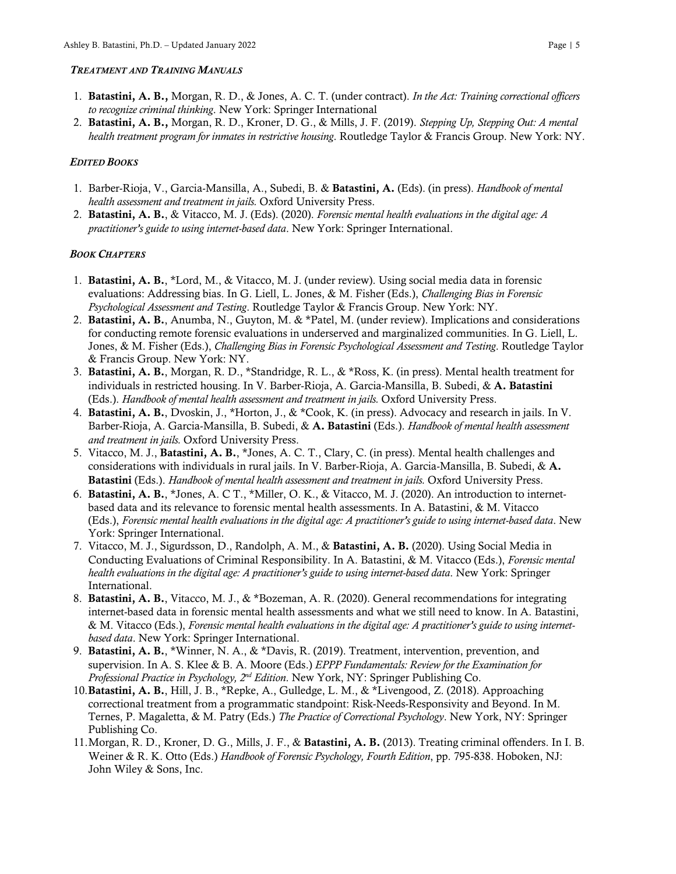#### *TREATMENT AND TRAINING MANUALS*

- 1. Batastini, A. B., Morgan, R. D., & Jones, A. C. T. (under contract). *In the Act: Training correctional officers to recognize criminal thinking*. New York: Springer International
- 2. Batastini, A. B., Morgan, R. D., Kroner, D. G., & Mills, J. F. (2019). *Stepping Up, Stepping Out: A mental health treatment program for inmates in restrictive housing*. Routledge Taylor & Francis Group. New York: NY.

## *EDITED BOOKS*

- 1. Barber-Rioja, V., Garcia-Mansilla, A., Subedi, B. & Batastini, A. (Eds). (in press). *Handbook of mental health assessment and treatment in jails.* Oxford University Press.
- 2. Batastini, A. B., & Vitacco, M. J. (Eds). (2020). *Forensic mental health evaluations in the digital age: A practitioner's guide to using internet-based data*. New York: Springer International.

## *BOOK CHAPTERS*

- 1. Batastini, A. B., \*Lord, M., & Vitacco, M. J. (under review). Using social media data in forensic evaluations: Addressing bias. In G. Liell, L. Jones, & M. Fisher (Eds.), *Challenging Bias in Forensic Psychological Assessment and Testing*. Routledge Taylor & Francis Group. New York: NY.
- 2. Batastini, A. B., Anumba, N., Guyton, M. & \*Patel, M. (under review). Implications and considerations for conducting remote forensic evaluations in underserved and marginalized communities. In G. Liell, L. Jones, & M. Fisher (Eds.), *Challenging Bias in Forensic Psychological Assessment and Testing*. Routledge Taylor & Francis Group. New York: NY.
- 3. Batastini, A. B., Morgan, R. D., \*Standridge, R. L., & \*Ross, K. (in press). Mental health treatment for individuals in restricted housing. In V. Barber-Rioja, A. Garcia-Mansilla, B. Subedi, & A. Batastini (Eds.). *Handbook of mental health assessment and treatment in jails.* Oxford University Press.
- 4. Batastini, A. B., Dvoskin, J., \*Horton, J., & \*Cook, K. (in press). Advocacy and research in jails. In V. Barber-Rioja, A. Garcia-Mansilla, B. Subedi, & A. Batastini (Eds.). *Handbook of mental health assessment and treatment in jails.* Oxford University Press.
- 5. Vitacco, M. J., Batastini, A. B., \*Jones, A. C. T., Clary, C. (in press). Mental health challenges and considerations with individuals in rural jails. In V. Barber-Rioja, A. Garcia-Mansilla, B. Subedi, & A. Batastini (Eds.). *Handbook of mental health assessment and treatment in jails.* Oxford University Press.
- 6. Batastini, A. B., \*Jones, A. C T., \*Miller, O. K., & Vitacco, M. J. (2020). An introduction to internetbased data and its relevance to forensic mental health assessments. In A. Batastini, & M. Vitacco (Eds.), *Forensic mental health evaluations in the digital age: A practitioner's guide to using internet-based data*. New York: Springer International.
- 7. Vitacco, M. J., Sigurdsson, D., Randolph, A. M., & Batastini, A. B. (2020). Using Social Media in Conducting Evaluations of Criminal Responsibility. In A. Batastini, & M. Vitacco (Eds.), *Forensic mental health evaluations in the digital age: A practitioner's guide to using internet-based data*. New York: Springer International.
- 8. Batastini, A. B., Vitacco, M. J., & \*Bozeman, A. R. (2020). General recommendations for integrating internet-based data in forensic mental health assessments and what we still need to know. In A. Batastini, & M. Vitacco (Eds.), *Forensic mental health evaluations in the digital age: A practitioner's guide to using internetbased data*. New York: Springer International.
- 9. Batastini, A. B., \*Winner, N. A., & \*Davis, R. (2019). Treatment, intervention, prevention, and supervision. In A. S. Klee & B. A. Moore (Eds.) *EPPP Fundamentals: Review for the Examination for Professional Practice in Psychology, 2nd Edition*. New York, NY: Springer Publishing Co.
- 10.Batastini, A. B., Hill, J. B., \*Repke, A., Gulledge, L. M., & \*Livengood, Z. (2018). Approaching correctional treatment from a programmatic standpoint: Risk-Needs-Responsivity and Beyond. In M. Ternes, P. Magaletta, & M. Patry (Eds.) *The Practice of Correctional Psychology*. New York, NY: Springer Publishing Co.
- 11. Morgan, R. D., Kroner, D. G., Mills, J. F., & **Batastini, A. B.** (2013). Treating criminal offenders. In I. B. Weiner & R. K. Otto (Eds.) *Handbook of Forensic Psychology, Fourth Edition*, pp. 795-838. Hoboken, NJ: John Wiley & Sons, Inc.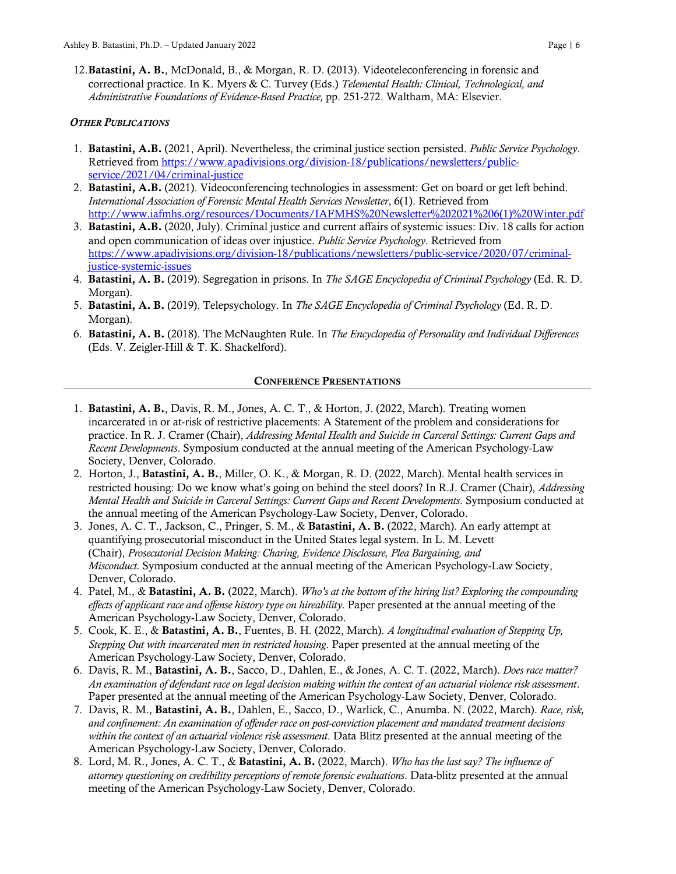12.Batastini, A. B., McDonald, B., & Morgan, R. D. (2013). Videoteleconferencing in forensic and correctional practice. In K. Myers & C. Turvey (Eds.) *Telemental Health: Clinical, Technological, and Administrative Foundations of Evidence-Based Practice,* pp. 251-272. Waltham, MA: Elsevier.

## *OTHER PUBLICATIONS*

- 1. Batastini, A.B. (2021, April). Nevertheless, the criminal justice section persisted. *Public Service Psychology*. Retrieved from https://www.apadivisions.org/division-18/publications/newsletters/publicservice/2021/04/criminal-justice
- 2. Batastini, A.B. (2021). Videoconferencing technologies in assessment: Get on board or get left behind. *International Association of Forensic Mental Health Services Newsletter*, 6(1). Retrieved from http://www.iafmhs.org/resources/Documents/IAFMHS%20Newsletter%202021%206(1)%20Winter.pdf
- 3. Batastini, A.B. (2020, July). Criminal justice and current affairs of systemic issues: Div. 18 calls for action and open communication of ideas over injustice. *Public Service Psychology*. Retrieved from https://www.apadivisions.org/division-18/publications/newsletters/public-service/2020/07/criminaljustice-systemic-issues
- 4. Batastini, A. B. (2019). Segregation in prisons. In *The SAGE Encyclopedia of Criminal Psychology* (Ed. R. D. Morgan).
- 5. Batastini, A. B. (2019). Telepsychology. In *The SAGE Encyclopedia of Criminal Psychology* (Ed. R. D. Morgan).
- 6. Batastini, A. B. (2018). The McNaughten Rule. In *The Encyclopedia of Personality and Individual Differences* (Eds. V. Zeigler-Hill & T. K. Shackelford).

#### CONFERENCE PRESENTATIONS

- 1. Batastini, A. B., Davis, R. M., Jones, A. C. T., & Horton, J. (2022, March). Treating women incarcerated in or at-risk of restrictive placements: A Statement of the problem and considerations for practice. In R. J. Cramer (Chair), *Addressing Mental Health and Suicide in Carceral Settings: Current Gaps and Recent Developments*. Symposium conducted at the annual meeting of the American Psychology-Law Society, Denver, Colorado.
- 2. Horton, J., Batastini, A. B., Miller, O. K., & Morgan, R. D. (2022, March). Mental health services in restricted housing: Do we know what's going on behind the steel doors? In R.J. Cramer (Chair), *Addressing Mental Health and Suicide in Carceral Settings: Current Gaps and Recent Developments*. Symposium conducted at the annual meeting of the American Psychology-Law Society, Denver, Colorado.
- 3. Jones, A. C. T., Jackson, C., Pringer, S. M., & Batastini, A. B. (2022, March). An early attempt at quantifying prosecutorial misconduct in the United States legal system. In L. M. Levett (Chair), *Prosecutorial Decision Making: Charing, Evidence Disclosure, Plea Bargaining, and Misconduct.* Symposium conducted at the annual meeting of the American Psychology-Law Society, Denver, Colorado.
- 4. Patel, M., & Batastini, A. B. (2022, March). *Who's at the bottom of the hiring list? Exploring the compounding effects of applicant race and offense history type on hireability.* Paper presented at the annual meeting of the American Psychology-Law Society, Denver, Colorado.
- 5. Cook, K. E., & Batastini, A. B., Fuentes, B. H. (2022, March). *A longitudinal evaluation of Stepping Up, Stepping Out with incarcerated men in restricted housing*. Paper presented at the annual meeting of the American Psychology-Law Society, Denver, Colorado.
- 6. Davis, R. M., Batastini, A. B., Sacco, D., Dahlen, E., & Jones, A. C. T. (2022, March). *Does race matter? An examination of defendant race on legal decision making within the context of an actuarial violence risk assessment*. Paper presented at the annual meeting of the American Psychology-Law Society, Denver, Colorado.
- 7. Davis, R. M., Batastini, A. B., Dahlen, E., Sacco, D., Warlick, C., Anumba. N. (2022, March). *Race, risk, and confinement: An examination of offender race on post-conviction placement and mandated treatment decisions within the context of an actuarial violence risk assessment*. Data Blitz presented at the annual meeting of the American Psychology-Law Society, Denver, Colorado.
- 8. Lord, M. R., Jones, A. C. T., & Batastini, A. B. (2022, March). *Who has the last say? The influence of attorney questioning on credibility perceptions of remote forensic evaluations*. Data-blitz presented at the annual meeting of the American Psychology-Law Society, Denver, Colorado.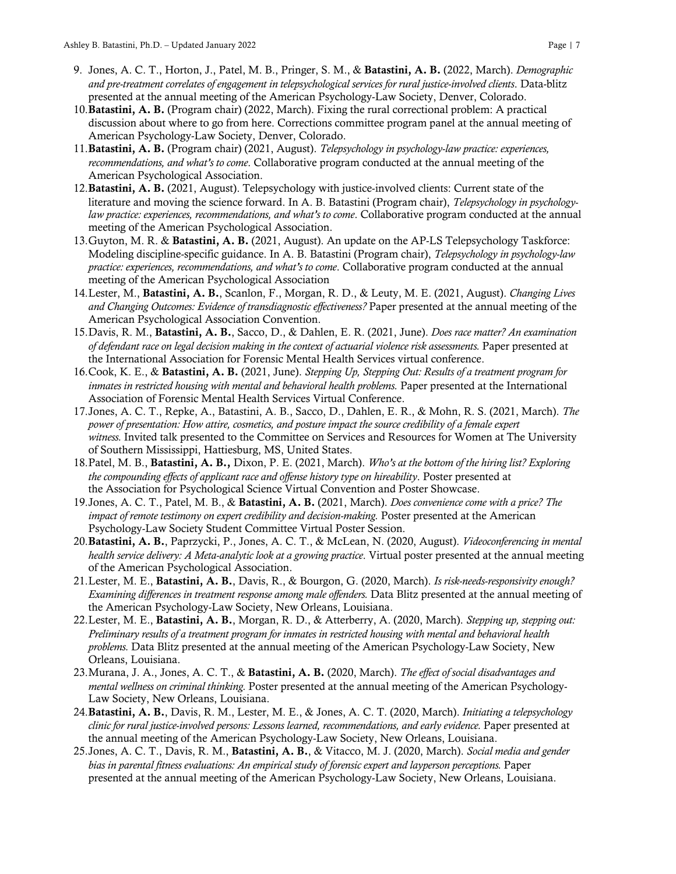- 9. Jones, A. C. T., Horton, J., Patel, M. B., Pringer, S. M., & Batastini, A. B. (2022, March). *Demographic and pre-treatment correlates of engagement in telepsychological services for rural justice-involved clients*. Data-blitz presented at the annual meeting of the American Psychology-Law Society, Denver, Colorado.
- 10.Batastini, A. B. (Program chair) (2022, March). Fixing the rural correctional problem: A practical discussion about where to go from here. Corrections committee program panel at the annual meeting of American Psychology-Law Society, Denver, Colorado.
- 11.Batastini, A. B. (Program chair) (2021, August). *Telepsychology in psychology-law practice: experiences, recommendations, and what's to come*. Collaborative program conducted at the annual meeting of the American Psychological Association.
- 12.Batastini, A. B. (2021, August). Telepsychology with justice-involved clients: Current state of the literature and moving the science forward. In A. B. Batastini (Program chair), *Telepsychology in psychologylaw practice: experiences, recommendations, and what's to come*. Collaborative program conducted at the annual meeting of the American Psychological Association.
- 13. Guyton, M. R. & Batastini, A. B. (2021, August). An update on the AP-LS Telepsychology Taskforce: Modeling discipline-specific guidance. In A. B. Batastini (Program chair), *Telepsychology in psychology-law practice: experiences, recommendations, and what's to come*. Collaborative program conducted at the annual meeting of the American Psychological Association
- 14.Lester, M., Batastini, A. B., Scanlon, F., Morgan, R. D., & Leuty, M. E. (2021, August). *Changing Lives and Changing Outcomes: Evidence of transdiagnostic effectiveness?* Paper presented at the annual meeting of the American Psychological Association Convention.
- 15.Davis, R. M., Batastini, A. B., Sacco, D., & Dahlen, E. R. (2021, June). *Does race matter? An examination of defendant race on legal decision making in the context of actuarial violence risk assessments.* Paper presented at the International Association for Forensic Mental Health Services virtual conference.
- 16.Cook, K. E., & Batastini, A. B. (2021, June). *Stepping Up, Stepping Out: Results of a treatment program for inmates in restricted housing with mental and behavioral health problems.* Paper presented at the International Association of Forensic Mental Health Services Virtual Conference.
- 17.Jones, A. C. T., Repke, A., Batastini, A. B., Sacco, D., Dahlen, E. R., & Mohn, R. S. (2021, March). *The power of presentation: How attire, cosmetics, and posture impact the source credibility of a female expert witness.* Invited talk presented to the Committee on Services and Resources for Women at The University of Southern Mississippi, Hattiesburg, MS, United States.
- 18.Patel, M. B., Batastini, A. B., Dixon, P. E. (2021, March). *Who's at the bottom of the hiring list? Exploring the compounding effects of applicant race and offense history type on hireability*. Poster presented at the Association for Psychological Science Virtual Convention and Poster Showcase.
- 19.Jones, A. C. T., Patel, M. B., & Batastini, A. B. (2021, March). *Does convenience come with a price? The impact of remote testimony on expert credibility and decision-making.* Poster presented at the American Psychology-Law Society Student Committee Virtual Poster Session.
- 20.Batastini, A. B., Paprzycki, P., Jones, A. C. T., & McLean, N. (2020, August). *Videoconferencing in mental health service delivery: A Meta-analytic look at a growing practice*. Virtual poster presented at the annual meeting of the American Psychological Association.
- 21.Lester, M. E., Batastini, A. B., Davis, R., & Bourgon, G. (2020, March). *Is risk-needs-responsivity enough? Examining differences in treatment response among male offenders.* Data Blitz presented at the annual meeting of the American Psychology-Law Society, New Orleans, Louisiana.
- 22.Lester, M. E., Batastini, A. B., Morgan, R. D., & Atterberry, A. (2020, March). *Stepping up, stepping out: Preliminary results of a treatment program for inmates in restricted housing with mental and behavioral health problems.* Data Blitz presented at the annual meeting of the American Psychology-Law Society, New Orleans, Louisiana.
- 23.Murana, J. A., Jones, A. C. T., & Batastini, A. B. (2020, March). *The effect of social disadvantages and mental wellness on criminal thinking.* Poster presented at the annual meeting of the American Psychology-Law Society, New Orleans, Louisiana.
- 24.Batastini, A. B., Davis, R. M., Lester, M. E., & Jones, A. C. T. (2020, March). *Initiating a telepsychology clinic for rural justice-involved persons: Lessons learned, recommendations, and early evidence.* Paper presented at the annual meeting of the American Psychology-Law Society, New Orleans, Louisiana.
- 25.Jones, A. C. T., Davis, R. M., Batastini, A. B., & Vitacco, M. J. (2020, March). *Social media and gender bias in parental fitness evaluations: An empirical study of forensic expert and layperson perceptions.* Paper presented at the annual meeting of the American Psychology-Law Society, New Orleans, Louisiana.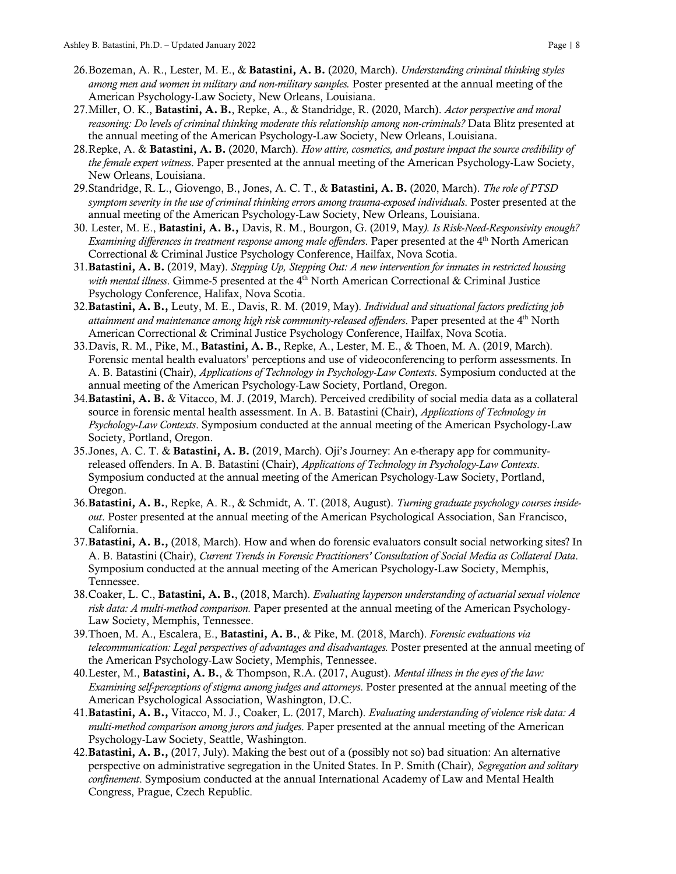- 26.Bozeman, A. R., Lester, M. E., & Batastini, A. B. (2020, March). *Understanding criminal thinking styles among men and women in military and non-military samples.* Poster presented at the annual meeting of the American Psychology-Law Society, New Orleans, Louisiana.
- 27.Miller, O. K., Batastini, A. B., Repke, A., & Standridge, R. (2020, March). *Actor perspective and moral reasoning: Do levels of criminal thinking moderate this relationship among non-criminals?* Data Blitz presented at the annual meeting of the American Psychology-Law Society, New Orleans, Louisiana.
- 28.Repke, A. & Batastini, A. B. (2020, March). *How attire, cosmetics, and posture impact the source credibility of the female expert witness*. Paper presented at the annual meeting of the American Psychology-Law Society, New Orleans, Louisiana.
- 29.Standridge, R. L., Giovengo, B., Jones, A. C. T., & Batastini, A. B. (2020, March). *The role of PTSD symptom severity in the use of criminal thinking errors among trauma-exposed individuals*. Poster presented at the annual meeting of the American Psychology-Law Society, New Orleans, Louisiana.
- 30. Lester, M. E., Batastini, A. B., Davis, R. M., Bourgon, G. (2019, May*). Is Risk-Need-Responsivity enough? Examining differences in treatment response among male offenders*. Paper presented at the 4<sup>th</sup> North American Correctional & Criminal Justice Psychology Conference, Hailfax, Nova Scotia.
- 31.Batastini, A. B. (2019, May). *Stepping Up, Stepping Out: A new intervention for inmates in restricted housing with mental illness*. Gimme-5 presented at the 4<sup>th</sup> North American Correctional & Criminal Justice Psychology Conference, Halifax, Nova Scotia.
- 32.Batastini, A. B., Leuty, M. E., Davis, R. M. (2019, May). *Individual and situational factors predicting job attainment and maintenance among high risk community-released offenders*. Paper presented at the 4th North American Correctional & Criminal Justice Psychology Conference, Hailfax, Nova Scotia.
- 33.Davis, R. M., Pike, M., Batastini, A. B., Repke, A., Lester, M. E., & Thoen, M. A. (2019, March). Forensic mental health evaluators' perceptions and use of videoconferencing to perform assessments. In A. B. Batastini (Chair), *Applications of Technology in Psychology-Law Contexts*. Symposium conducted at the annual meeting of the American Psychology-Law Society, Portland, Oregon.
- 34. Batastini, A. B. & Vitacco, M. J. (2019, March). Perceived credibility of social media data as a collateral source in forensic mental health assessment. In A. B. Batastini (Chair), *Applications of Technology in Psychology-Law Contexts*. Symposium conducted at the annual meeting of the American Psychology-Law Society, Portland, Oregon.
- 35.Jones, A. C. T. & Batastini, A. B. (2019, March). Oji's Journey: An e-therapy app for communityreleased offenders. In A. B. Batastini (Chair), *Applications of Technology in Psychology-Law Contexts*. Symposium conducted at the annual meeting of the American Psychology-Law Society, Portland, Oregon.
- 36.Batastini, A. B., Repke, A. R., & Schmidt, A. T. (2018, August). *Turning graduate psychology courses insideout*. Poster presented at the annual meeting of the American Psychological Association, San Francisco, California.
- 37.Batastini, A. B., (2018, March). How and when do forensic evaluators consult social networking sites? In A. B. Batastini (Chair), *Current Trends in Forensic Practitioners' Consultation of Social Media as Collateral Data*. Symposium conducted at the annual meeting of the American Psychology-Law Society, Memphis, Tennessee.
- 38.Coaker, L. C., Batastini, A. B., (2018, March). *Evaluating layperson understanding of actuarial sexual violence risk data: A multi-method comparison.* Paper presented at the annual meeting of the American Psychology-Law Society, Memphis, Tennessee.
- 39.Thoen, M. A., Escalera, E., Batastini, A. B., & Pike, M. (2018, March). *Forensic evaluations via telecommunication: Legal perspectives of advantages and disadvantages.* Poster presented at the annual meeting of the American Psychology-Law Society, Memphis, Tennessee.
- 40.Lester, M., Batastini, A. B., & Thompson, R.A. (2017, August). *Mental illness in the eyes of the law: Examining self-perceptions of stigma among judges and attorneys*. Poster presented at the annual meeting of the American Psychological Association, Washington, D.C.
- 41.Batastini, A. B., Vitacco, M. J., Coaker, L. (2017, March). *Evaluating understanding of violence risk data: A multi-method comparison among jurors and judges*. Paper presented at the annual meeting of the American Psychology-Law Society, Seattle, Washington.
- 42.Batastini, A. B., (2017, July). Making the best out of a (possibly not so) bad situation: An alternative perspective on administrative segregation in the United States. In P. Smith (Chair), *Segregation and solitary confinement*. Symposium conducted at the annual International Academy of Law and Mental Health Congress, Prague, Czech Republic.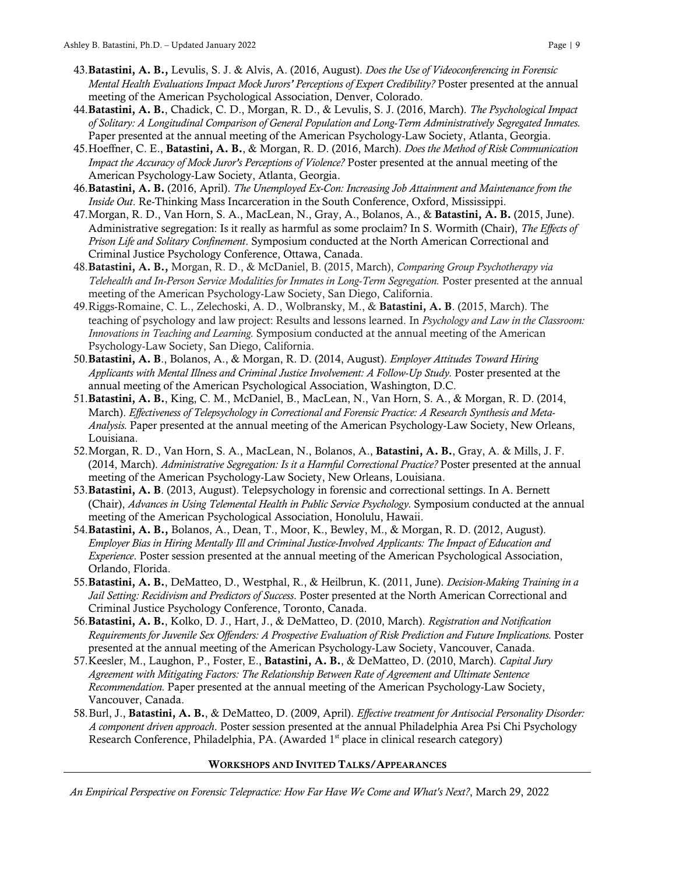- 43.Batastini, A. B., Levulis, S. J. & Alvis, A. (2016, August). *Does the Use of Videoconferencing in Forensic Mental Health Evaluations Impact Mock Jurors' Perceptions of Expert Credibility?* Poster presented at the annual meeting of the American Psychological Association, Denver, Colorado.
- 44.Batastini, A. B., Chadick, C. D., Morgan, R. D., & Levulis, S. J. (2016, March). *The Psychological Impact of Solitary: A Longitudinal Comparison of General Population and Long-Term Administratively Segregated Inmates.* Paper presented at the annual meeting of the American Psychology-Law Society, Atlanta, Georgia.
- 45.Hoeffner, C. E., Batastini, A. B., & Morgan, R. D. (2016, March). *Does the Method of Risk Communication Impact the Accuracy of Mock Juror's Perceptions of Violence?* Poster presented at the annual meeting of the American Psychology-Law Society, Atlanta, Georgia.
- 46.Batastini, A. B. (2016, April). *The Unemployed Ex-Con: Increasing Job Attainment and Maintenance from the Inside Out*. Re-Thinking Mass Incarceration in the South Conference, Oxford, Mississippi.
- 47.Morgan, R. D., Van Horn, S. A., MacLean, N., Gray, A., Bolanos, A., & Batastini, A. B. (2015, June). Administrative segregation: Is it really as harmful as some proclaim? In S. Wormith (Chair), *The Effects of Prison Life and Solitary Confinement*. Symposium conducted at the North American Correctional and Criminal Justice Psychology Conference, Ottawa, Canada.
- 48.Batastini, A. B., Morgan, R. D., & McDaniel, B. (2015, March), *Comparing Group Psychotherapy via Telehealth and In-Person Service Modalities for Inmates in Long-Term Segregation.* Poster presented at the annual meeting of the American Psychology-Law Society, San Diego, California.
- 49.Riggs-Romaine, C. L., Zelechoski, A. D., Wolbransky, M., & Batastini, A. B. (2015, March). The teaching of psychology and law project: Results and lessons learned. In *Psychology and Law in the Classroom: Innovations in Teaching and Learning.* Symposium conducted at the annual meeting of the American Psychology-Law Society, San Diego, California.
- 50.Batastini, A. B., Bolanos, A., & Morgan, R. D. (2014, August). *Employer Attitudes Toward Hiring Applicants with Mental Illness and Criminal Justice Involvement: A Follow-Up Study.* Poster presented at the annual meeting of the American Psychological Association, Washington, D.C.
- 51.Batastini, A. B., King, C. M., McDaniel, B., MacLean, N., Van Horn, S. A., & Morgan, R. D. (2014, March). *Effectiveness of Telepsychology in Correctional and Forensic Practice: A Research Synthesis and Meta-Analysis.* Paper presented at the annual meeting of the American Psychology-Law Society, New Orleans, Louisiana.
- 52.Morgan, R. D., Van Horn, S. A., MacLean, N., Bolanos, A., Batastini, A. B., Gray, A. & Mills, J. F. (2014, March). *Administrative Segregation: Is it a Harmful Correctional Practice?* Poster presented at the annual meeting of the American Psychology-Law Society, New Orleans, Louisiana.
- 53.Batastini, A. B. (2013, August). Telepsychology in forensic and correctional settings. In A. Bernett (Chair), *Advances in Using Telemental Health in Public Service Psychology.* Symposium conducted at the annual meeting of the American Psychological Association, Honolulu, Hawaii.
- 54.Batastini, A. B., Bolanos, A., Dean, T., Moor, K., Bewley, M., & Morgan, R. D. (2012, August). *Employer Bias in Hiring Mentally Ill and Criminal Justice-Involved Applicants: The Impact of Education and Experience*. Poster session presented at the annual meeting of the American Psychological Association, Orlando, Florida.
- 55.Batastini, A. B., DeMatteo, D., Westphal, R., & Heilbrun, K. (2011, June). *Decision-Making Training in a Jail Setting: Recidivism and Predictors of Success*. Poster presented at the North American Correctional and Criminal Justice Psychology Conference, Toronto, Canada.
- 56.Batastini, A. B., Kolko, D. J., Hart, J., & DeMatteo, D. (2010, March). *Registration and Notification Requirements for Juvenile Sex Offenders: A Prospective Evaluation of Risk Prediction and Future Implications.* Poster presented at the annual meeting of the American Psychology-Law Society, Vancouver, Canada.
- 57.Keesler, M., Laughon, P., Foster, E., Batastini, A. B., & DeMatteo, D. (2010, March). *Capital Jury Agreement with Mitigating Factors: The Relationship Between Rate of Agreement and Ultimate Sentence Recommendation.* Paper presented at the annual meeting of the American Psychology-Law Society, Vancouver, Canada.
- 58.Burl, J., Batastini, A. B., & DeMatteo, D. (2009, April). *Effective treatment for Antisocial Personality Disorder: A component driven approach*. Poster session presented at the annual Philadelphia Area Psi Chi Psychology Research Conference, Philadelphia, PA. (Awarded 1<sup>st</sup> place in clinical research category)

#### WORKSHOPS AND INVITED TALKS/APPEARANCES

*An Empirical Perspective on Forensic Telepractice: How Far Have We Come and What's Next?*, March 29, 2022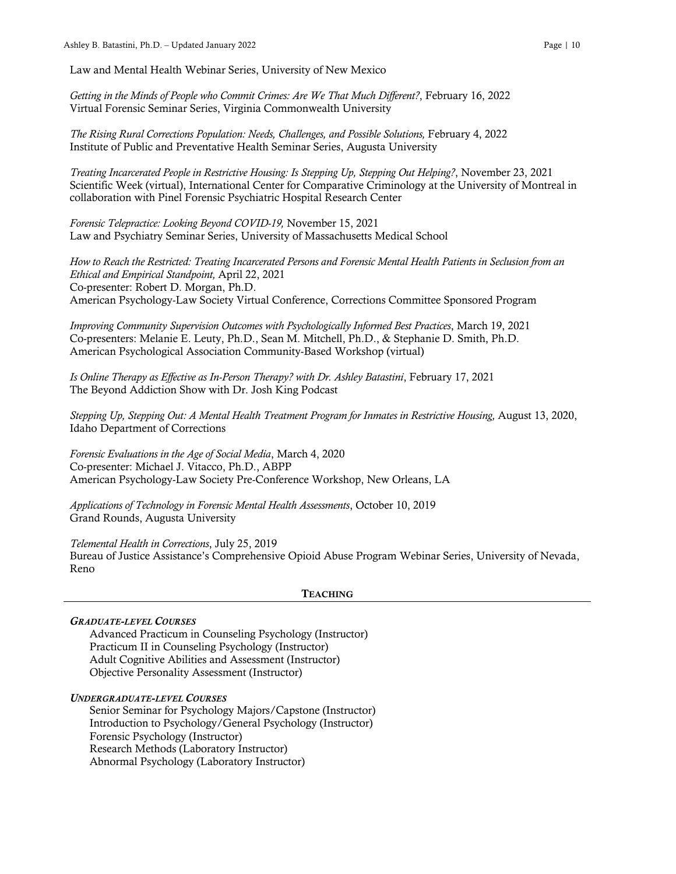Law and Mental Health Webinar Series, University of New Mexico

*Getting in the Minds of People who Commit Crimes: Are We That Much Different?*, February 16, 2022 Virtual Forensic Seminar Series, Virginia Commonwealth University

*The Rising Rural Corrections Population: Needs, Challenges, and Possible Solutions,* February 4, 2022 Institute of Public and Preventative Health Seminar Series, Augusta University

*Treating Incarcerated People in Restrictive Housing: Is Stepping Up, Stepping Out Helping?*, November 23, 2021 Scientific Week (virtual), International Center for Comparative Criminology at the University of Montreal in collaboration with Pinel Forensic Psychiatric Hospital Research Center

*Forensic Telepractice: Looking Beyond COVID-19,* November 15, 2021 Law and Psychiatry Seminar Series, University of Massachusetts Medical School

*How to Reach the Restricted: Treating Incarcerated Persons and Forensic Mental Health Patients in Seclusion from an Ethical and Empirical Standpoint,* April 22, 2021 Co-presenter: Robert D. Morgan, Ph.D. American Psychology-Law Society Virtual Conference, Corrections Committee Sponsored Program

*Improving Community Supervision Outcomes with Psychologically Informed Best Practices*, March 19, 2021 Co-presenters: Melanie E. Leuty, Ph.D., Sean M. Mitchell, Ph.D., & Stephanie D. Smith, Ph.D. American Psychological Association Community-Based Workshop (virtual)

*Is Online Therapy as Effective as In-Person Therapy? with Dr. Ashley Batastini*, February 17, 2021 The Beyond Addiction Show with Dr. Josh King Podcast

*Stepping Up, Stepping Out: A Mental Health Treatment Program for Inmates in Restrictive Housing,* August 13, 2020, Idaho Department of Corrections

*Forensic Evaluations in the Age of Social Media*, March 4, 2020 Co-presenter: Michael J. Vitacco, Ph.D., ABPP American Psychology-Law Society Pre-Conference Workshop, New Orleans, LA

*Applications of Technology in Forensic Mental Health Assessments*, October 10, 2019 Grand Rounds, Augusta University

*Telemental Health in Corrections*, July 25, 2019 Bureau of Justice Assistance's Comprehensive Opioid Abuse Program Webinar Series, University of Nevada, Reno

#### **TEACHING**

## *GRADUATE-LEVEL COURSES*

Advanced Practicum in Counseling Psychology (Instructor) Practicum II in Counseling Psychology (Instructor) Adult Cognitive Abilities and Assessment (Instructor) Objective Personality Assessment (Instructor)

#### *UNDERGRADUATE-LEVEL COURSES*

Senior Seminar for Psychology Majors/Capstone (Instructor) Introduction to Psychology/General Psychology (Instructor) Forensic Psychology (Instructor) Research Methods (Laboratory Instructor) Abnormal Psychology (Laboratory Instructor)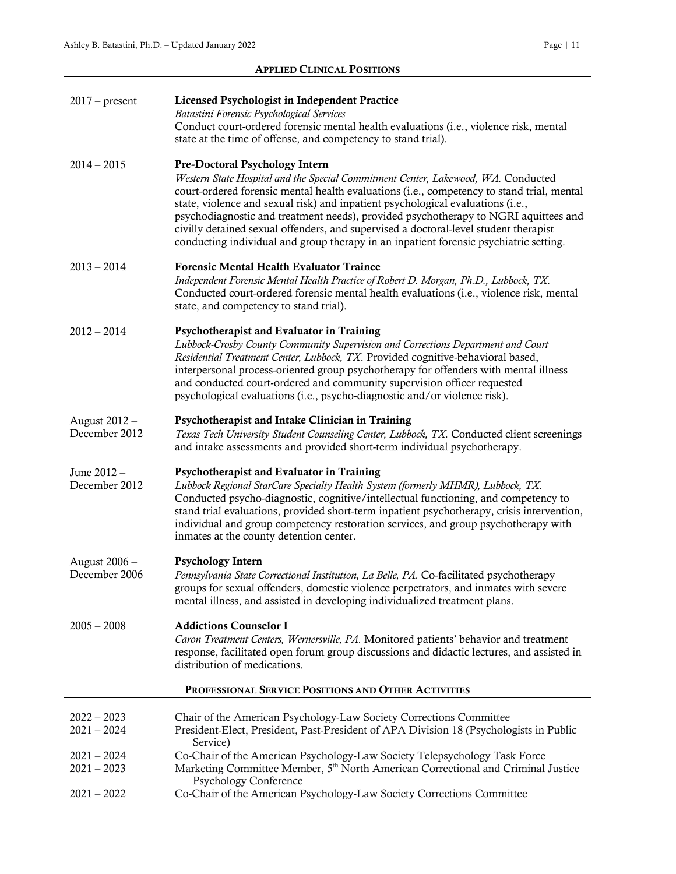## APPLIED CLINICAL POSITIONS

| $2017$ – present                                    | Licensed Psychologist in Independent Practice<br>Batastini Forensic Psychological Services<br>Conduct court-ordered forensic mental health evaluations (i.e., violence risk, mental<br>state at the time of offense, and competency to stand trial).                                                                                                                                                                                                                                                                                                                               |  |
|-----------------------------------------------------|------------------------------------------------------------------------------------------------------------------------------------------------------------------------------------------------------------------------------------------------------------------------------------------------------------------------------------------------------------------------------------------------------------------------------------------------------------------------------------------------------------------------------------------------------------------------------------|--|
| $2014 - 2015$                                       | <b>Pre-Doctoral Psychology Intern</b><br>Western State Hospital and the Special Commitment Center, Lakewood, WA. Conducted<br>court-ordered forensic mental health evaluations (i.e., competency to stand trial, mental<br>state, violence and sexual risk) and inpatient psychological evaluations (i.e.,<br>psychodiagnostic and treatment needs), provided psychotherapy to NGRI aquittees and<br>civilly detained sexual offenders, and supervised a doctoral-level student therapist<br>conducting individual and group therapy in an inpatient forensic psychiatric setting. |  |
| $2013 - 2014$                                       | <b>Forensic Mental Health Evaluator Trainee</b><br>Independent Forensic Mental Health Practice of Robert D. Morgan, Ph.D., Lubbock, TX.<br>Conducted court-ordered forensic mental health evaluations (i.e., violence risk, mental<br>state, and competency to stand trial).                                                                                                                                                                                                                                                                                                       |  |
| $2012 - 2014$                                       | Psychotherapist and Evaluator in Training<br>Lubbock-Crosby County Community Supervision and Corrections Department and Court<br>Residential Treatment Center, Lubbock, TX. Provided cognitive-behavioral based,<br>interpersonal process-oriented group psychotherapy for offenders with mental illness<br>and conducted court-ordered and community supervision officer requested<br>psychological evaluations (i.e., psycho-diagnostic and/or violence risk).                                                                                                                   |  |
| August 2012 -<br>December 2012                      | Psychotherapist and Intake Clinician in Training<br>Texas Tech University Student Counseling Center, Lubbock, TX. Conducted client screenings<br>and intake assessments and provided short-term individual psychotherapy.                                                                                                                                                                                                                                                                                                                                                          |  |
| June 2012 -<br>December 2012                        | Psychotherapist and Evaluator in Training<br>Lubbock Regional StarCare Specialty Health System (formerly MHMR), Lubbock, TX.<br>Conducted psycho-diagnostic, cognitive/intellectual functioning, and competency to<br>stand trial evaluations, provided short-term inpatient psychotherapy, crisis intervention,<br>individual and group competency restoration services, and group psychotherapy with<br>inmates at the county detention center.                                                                                                                                  |  |
| August 2006 -<br>December 2006                      | <b>Psychology Intern</b><br>Pennsylvania State Correctional Institution, La Belle, PA. Co-facilitated psychotherapy<br>groups for sexual offenders, domestic violence perpetrators, and inmates with severe<br>mental illness, and assisted in developing individualized treatment plans.                                                                                                                                                                                                                                                                                          |  |
| $2005 - 2008$                                       | <b>Addictions Counselor I</b><br>Caron Treatment Centers, Wernersville, PA. Monitored patients' behavior and treatment<br>response, facilitated open forum group discussions and didactic lectures, and assisted in<br>distribution of medications.                                                                                                                                                                                                                                                                                                                                |  |
| PROFESSIONAL SERVICE POSITIONS AND OTHER ACTIVITIES |                                                                                                                                                                                                                                                                                                                                                                                                                                                                                                                                                                                    |  |
| $2022 - 2023$<br>$2021 - 2024$                      | Chair of the American Psychology-Law Society Corrections Committee<br>President-Elect, President, Past-President of APA Division 18 (Psychologists in Public<br>Service)                                                                                                                                                                                                                                                                                                                                                                                                           |  |
| $2021 - 2024$                                       | Co-Chair of the American Psychology-Law Society Telepsychology Task Force                                                                                                                                                                                                                                                                                                                                                                                                                                                                                                          |  |
| $2021 - 2023$                                       | Marketing Committee Member, 5 <sup>th</sup> North American Correctional and Criminal Justice<br><b>Psychology Conference</b>                                                                                                                                                                                                                                                                                                                                                                                                                                                       |  |
| $2021 - 2022$                                       | Co-Chair of the American Psychology-Law Society Corrections Committee                                                                                                                                                                                                                                                                                                                                                                                                                                                                                                              |  |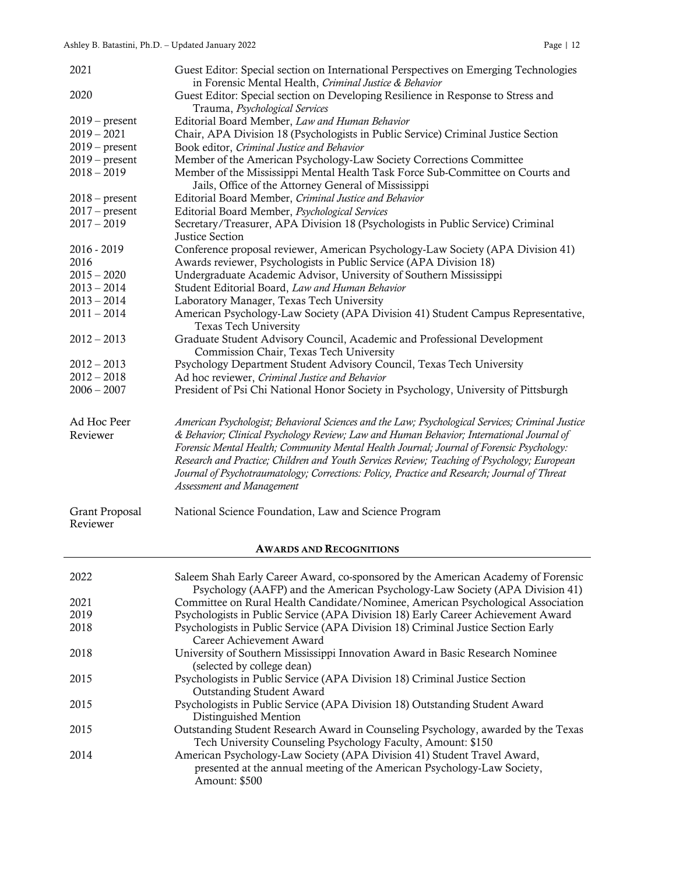| 2021                       | Guest Editor: Special section on International Perspectives on Emerging Technologies                                                                                                                                                                                                                                                                                                                                                                                                                                 |
|----------------------------|----------------------------------------------------------------------------------------------------------------------------------------------------------------------------------------------------------------------------------------------------------------------------------------------------------------------------------------------------------------------------------------------------------------------------------------------------------------------------------------------------------------------|
| 2020                       | in Forensic Mental Health, Criminal Justice & Behavior<br>Guest Editor: Special section on Developing Resilience in Response to Stress and                                                                                                                                                                                                                                                                                                                                                                           |
|                            | Trauma, Psychological Services                                                                                                                                                                                                                                                                                                                                                                                                                                                                                       |
| $2019$ – present           | Editorial Board Member, Law and Human Behavior                                                                                                                                                                                                                                                                                                                                                                                                                                                                       |
| $2019 - 2021$              | Chair, APA Division 18 (Psychologists in Public Service) Criminal Justice Section                                                                                                                                                                                                                                                                                                                                                                                                                                    |
| $2019$ – present           | Book editor, Criminal Justice and Behavior                                                                                                                                                                                                                                                                                                                                                                                                                                                                           |
| $2019$ – present           | Member of the American Psychology-Law Society Corrections Committee                                                                                                                                                                                                                                                                                                                                                                                                                                                  |
| $2018 - 2019$              | Member of the Mississippi Mental Health Task Force Sub-Committee on Courts and                                                                                                                                                                                                                                                                                                                                                                                                                                       |
|                            | Jails, Office of the Attorney General of Mississippi                                                                                                                                                                                                                                                                                                                                                                                                                                                                 |
| $2018$ – present           | Editorial Board Member, Criminal Justice and Behavior                                                                                                                                                                                                                                                                                                                                                                                                                                                                |
| $2017 - present$           | Editorial Board Member, Psychological Services                                                                                                                                                                                                                                                                                                                                                                                                                                                                       |
| $2017 - 2019$              | Secretary/Treasurer, APA Division 18 (Psychologists in Public Service) Criminal                                                                                                                                                                                                                                                                                                                                                                                                                                      |
|                            | Justice Section                                                                                                                                                                                                                                                                                                                                                                                                                                                                                                      |
| 2016 - 2019                | Conference proposal reviewer, American Psychology-Law Society (APA Division 41)                                                                                                                                                                                                                                                                                                                                                                                                                                      |
| 2016                       | Awards reviewer, Psychologists in Public Service (APA Division 18)                                                                                                                                                                                                                                                                                                                                                                                                                                                   |
| $2015 - 2020$              | Undergraduate Academic Advisor, University of Southern Mississippi                                                                                                                                                                                                                                                                                                                                                                                                                                                   |
| $2013 - 2014$              | Student Editorial Board, Law and Human Behavior                                                                                                                                                                                                                                                                                                                                                                                                                                                                      |
| $2013 - 2014$              | Laboratory Manager, Texas Tech University                                                                                                                                                                                                                                                                                                                                                                                                                                                                            |
| $2011 - 2014$              | American Psychology-Law Society (APA Division 41) Student Campus Representative,                                                                                                                                                                                                                                                                                                                                                                                                                                     |
|                            | Texas Tech University                                                                                                                                                                                                                                                                                                                                                                                                                                                                                                |
| $2012 - 2013$              | Graduate Student Advisory Council, Academic and Professional Development                                                                                                                                                                                                                                                                                                                                                                                                                                             |
|                            | Commission Chair, Texas Tech University                                                                                                                                                                                                                                                                                                                                                                                                                                                                              |
| $2012 - 2013$              | Psychology Department Student Advisory Council, Texas Tech University                                                                                                                                                                                                                                                                                                                                                                                                                                                |
| $2012 - 2018$              | Ad hoc reviewer, Criminal Justice and Behavior                                                                                                                                                                                                                                                                                                                                                                                                                                                                       |
| $2006 - 2007$              | President of Psi Chi National Honor Society in Psychology, University of Pittsburgh                                                                                                                                                                                                                                                                                                                                                                                                                                  |
|                            |                                                                                                                                                                                                                                                                                                                                                                                                                                                                                                                      |
| Ad Hoc Peer<br>Reviewer    | American Psychologist; Behavioral Sciences and the Law; Psychological Services; Criminal Justice<br>& Behavior; Clinical Psychology Review; Law and Human Behavior; International Journal of<br>Forensic Mental Health; Community Mental Health Journal; Journal of Forensic Psychology:<br>Research and Practice; Children and Youth Services Review; Teaching of Psychology; European<br>Journal of Psychotraumatology; Corrections: Policy, Practice and Research; Journal of Threat<br>Assessment and Management |
| Grant Proposal<br>Reviewer | National Science Foundation, Law and Science Program                                                                                                                                                                                                                                                                                                                                                                                                                                                                 |
|                            |                                                                                                                                                                                                                                                                                                                                                                                                                                                                                                                      |
|                            | <b>AWARDS AND RECOGNITIONS</b>                                                                                                                                                                                                                                                                                                                                                                                                                                                                                       |
| 2022                       | Saleem Shah Early Career Award, co-sponsored by the American Academy of Forensic                                                                                                                                                                                                                                                                                                                                                                                                                                     |
|                            | Psychology (AAFP) and the American Psychology-Law Society (APA Division 41)                                                                                                                                                                                                                                                                                                                                                                                                                                          |
| 2021                       | Committee on Rural Health Candidate/Nominee, American Psychological Association                                                                                                                                                                                                                                                                                                                                                                                                                                      |
| 2019                       | Psychologists in Public Service (APA Division 18) Early Career Achievement Award                                                                                                                                                                                                                                                                                                                                                                                                                                     |
| 2018                       | Psychologists in Public Service (APA Division 18) Criminal Justice Section Early                                                                                                                                                                                                                                                                                                                                                                                                                                     |
|                            | Career Achievement Award                                                                                                                                                                                                                                                                                                                                                                                                                                                                                             |
| 2018                       | University of Southern Mississippi Innovation Award in Basic Research Nominee                                                                                                                                                                                                                                                                                                                                                                                                                                        |
|                            | (selected by college dean)                                                                                                                                                                                                                                                                                                                                                                                                                                                                                           |
| 2015                       | Psychologists in Public Service (APA Division 18) Criminal Justice Section                                                                                                                                                                                                                                                                                                                                                                                                                                           |
|                            | <b>Outstanding Student Award</b>                                                                                                                                                                                                                                                                                                                                                                                                                                                                                     |
| 2015                       | Psychologists in Public Service (APA Division 18) Outstanding Student Award                                                                                                                                                                                                                                                                                                                                                                                                                                          |
|                            | Distinguished Mention                                                                                                                                                                                                                                                                                                                                                                                                                                                                                                |
| 2015                       | Outstanding Student Research Award in Counseling Psychology, awarded by the Texas                                                                                                                                                                                                                                                                                                                                                                                                                                    |
|                            | Tech University Counseling Psychology Faculty, Amount: \$150                                                                                                                                                                                                                                                                                                                                                                                                                                                         |
|                            |                                                                                                                                                                                                                                                                                                                                                                                                                                                                                                                      |

2014 American Psychology-Law Society (APA Division 41) Student Travel Award, presented at the annual meeting of the American Psychology-Law Society, Amount: \$500